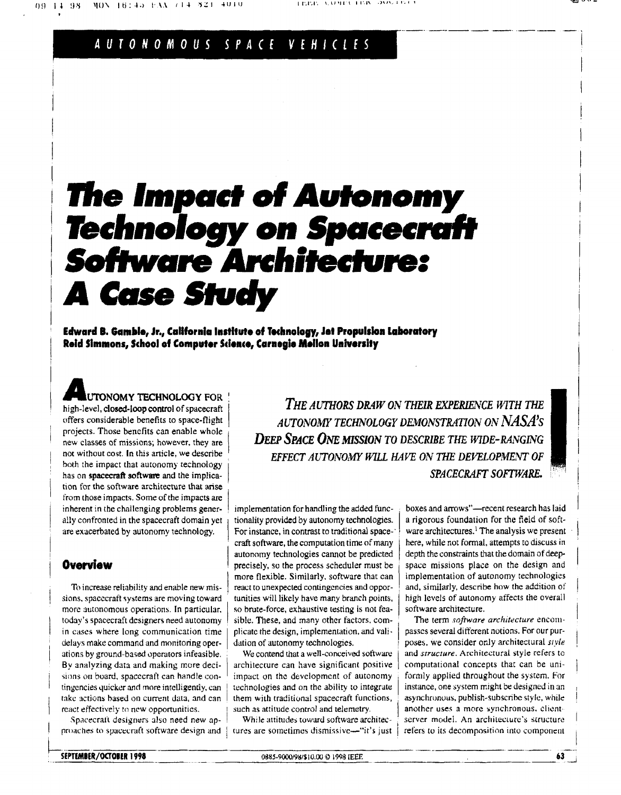i

i

I

!

!

I

!

I

i

I

!

I

I

I

i

I

I

i

i

i I

# *The Impact of Autonomy<br>Technology on Spacecraft* Software Architecture: **A Case Study**

**Edward B. Gamblo, Jr., California Irstilute of Twhnology, JeI Propulsion Laboratory Reid Simmons, Sthool of Computer Sden:e, Carnsgie Mallon Universily** 

projects. Those benefits can enable whole not without cost. In this **article,** we describe both the impact that autonomy technology has on **spacecraft** software and the implication for the software archicecture that arise from those impacts. Some of the impacts **are**  inherent in the challenging problems gener- implementation for handling the added funcally confronted in the spacecraft domain yet  $\frac{1}{2}$  tionality provided by autonomy technologies.

sions, spacecraft systems are moving toward tunities will likely have many branch points, more autonomous operations. In particular, so brute-force, exhaustive testing is not featoday's spacecraft designers need autonomy  $\parallel$  sible. These, and many other factors, comin cases where long communication time  $\parallel$  plicate the design, implementation, and validelays make command and monitoring oper- dation of autonomy technologies. ations by ground-based operators infeasible. We contend that a well-conceived software By analyzing data and making more deci- architecture can have significant positive sions on board, spacecraft can handle con- illess impact on the development of autonomy tinycncies quicker **and** more intelligently, can I technologies and on the **ability** *to* integrate **takc** sstions based on current data, **and** can 1 them with traditional spacecraft functions, react effectively to new opportunities.  $\qquad$  such as attitude control and telemetry.

proaches to spacecraft software design and  $\parallel$  tures are sometimes dismissive-"it's just

high-level, closed-loop control of spacecraft *THE AUTHORS DRAW ON THEIR EXPERIENCE WITH THE*<br>offers considerable benefits to space-flight *all the authority technique of the MONSTRATION ON NASA's* crffers considerable benefits to space-flight *AUTONOMY TECHNOLOGY DE;MONSTRATION ON NASA's*  new classes of missions; however, they are 1 **DEEP SPACE ONE MISSION** TO DESCRIBE THE WIDE-RANGING *EFFECT ACTONOMY* WlLL HAYE *ON THE DEI/ELOPVENT OF*  **SPACECRAFT SOFTWARE.** 

are exacerbated by autonomy technology. For instance, in contrast to traditional space-' craft software, the computation time of many autonomy technologies cannot be predicted more flexible. Similarly. software that can To increase reliability and enable new mis-  $\vert$  react to unexpected contingencies and oppor-**Overview precisely, so the process scheduler must be** 

Spacecraft designers also need new ap- 1 While attitudes toward software architec-

boxes and arrows"-recent research has laid a rigorous foundation for the field of software architectures.<sup>1</sup> The analysis we present here, while not formal, attempts 10 discuss in depth the constraints that *the* domain of deep**space** missions place on the design and implementation of autonomy technologies and, **similarly,** describe how the addition of high levels of autonomy affects the overall software architecture.

The term *software architecture* encompasses several different notions. For our pur**poses,** we consider only architectural *sivle*  and *srructure.* Architectural style refers to computational concepts that **can** be uni.. formly applied throughout the system. For instance, one system might be designed in an asynchronuus, publish-subscribe style, while another **uses** a more synchronous, cliontserver model. An architecture's structure refers to its decomposition **into** component

 $...$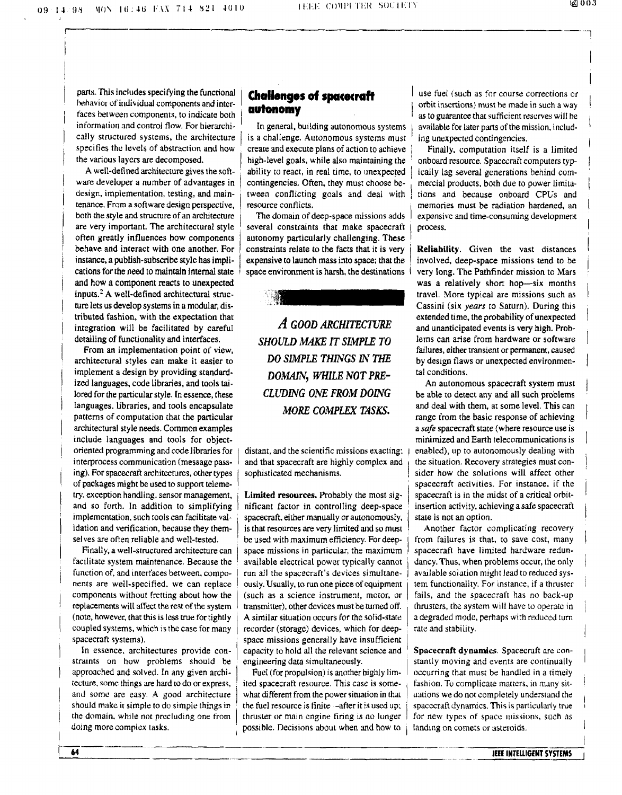I

I

I

I 1

!

I

I

I

parts. **This** includes specifying the functional behavior of individual components and interfaces between components, to indicate both information and control flow. For hierarchically structured systems, the architecture specifies the levels of abstraction and how the various layers are decomposed.

**A** well-defined architecture gives the software developer a number of advantages in design, implementation, testing, and maintenance. From a software design perspective, both the style and structure of an architecture are very important. The architectural style several constraints that make spacecraft **process.** often greatly influences how components | autonomy particularly challenging. These inputs.<sup>2</sup> A well-defined architectural structure lets us develop syskms in **a modular, dis**  integration will be facilitated by careful *A* GOOD ARCHITECTURE and unanticipated events is very high. Prob-

**From an implementation point of view,<br>chitectural styles, can make it easier to BO SIMPLE THINGS IN THE** architectural styles can make it easier to *DO SIMPLE THINGS IN THE* by design flaws or unexpected environmenimplement a design by providing standard-<br>ized languages, code libraries, and tools tai-<br>lored for the particular style. In essence, these **CLUDING ONE FROM DOING** be able to detect any and all such problems lored for the particular style. In essence, these *CLUDING ONE FROM DOING* be able to detect any and all such problems languages, libraries, and tools encapsulate MORE COMPLEX TASKS. and deal with them, at some level. This can architectural style needs. Common examples a *sufe* spacecraft state (where resource use is include languages and tools for object- minimized and Earth telecommunications is oriented programming and code libraries for I distant, and the scientific missions exacting: I enabled), up *to* autonomously dealing with ing). For spacecraft architectures. other types of packages might be used to support teleme**try.** exception handling. sensor management, and so forth. In addition to simplifying implementation. such tools can facilitate validation and verification, because they themselves **are** often reliable and well-tested. interprocess communication (message pass- 1 and that spacecraft are highly complex and

Finally, a well-structured architecture can facilitate system maintenance. Because the function of, and interfaces between, components are weil-specified. we can replace components without fretting about how the replacements will affect the **rest** of the system (note, however, that this is less true for tightly coupled systems, which is the case for many spacecraft systems).

In essence. architectures provide constraints on how problems should be tecture, **some** things **are** hard to do or express, and some arc easy. **A** good architecture should **make** ir simple to do simple things in the domain, while not precluding one from

## Challenges *of* **spacewaft autonomy**

In general, bui!ding autonomous systems is a challenge. Autonomous systems *must*  create and execute plans of action to achieve high-level goals. while also maintaining the ability to react, in real timc, to unexpected contingencies. Often, they must choose between conflicting goals and deal with

Integration with the racinitated by earchitectural<br>
detailing of functionality and interfaces.<br>
From an implementation point of view,<br>
architectural styles can make it easier to<br>
implement a design by providing standard-<br>

sophisticated mechanisms.

I

i

I

!

I

1

I

I

I

**Limited resources.** Probably the most significant factor in controlIing deep-space spacecraft, either manually or autonomously, is that resources are very limited **and** so must be **used** with maximum efficiency. For deepspace missions in particular, the maximum available electrical power typically cannot run dl **the** spacecraft's devices simultane**ously.** Usually, to run one piece of equipment (such **as** a science instrument, motor, ur **transmirter),** other devices must be turned off. **A** similar situation occurs for the solid-state recorder (storage) devices, which for deepspace missions generally have insufficient space missions generary have insurrecent<br>capacity to hold all the relevant science and<br>engineering data simultaneously.<br>Fuel (for propulsion) is another highly lim-<br>ited spacecraft resource. This case is someengineering data simultaneously.

approached and solved. In any given archi- Fuel (for propulsion) is another highly limwhat different from the power situation in that the fuel resource is finite -after it is used up; thruster or main engine firing is no longer doing more complcx **tasks.** ' possible. Decisions about when **and** how to i landmg on comets or asteroids.

use fuel (such **as** for course corrections or orbit insertions) must he made in such a way as to guarantee that sufficient rescrves will be avaiilable for later pats of the mission. including unexpected Contingencies.

resource conflicts. memories must be radiation hardened, an The domain of deep-space missions adds  $\parallel$  expensive and time-consuming development Finally, computation itself is a limited onboard resource. Spacecraft computers typically lag several generations hehind commercial products, both due to power lirnitations and because onboard CPLs and

behave and interact with one another. For constraints relate to the facts that it is very **Reliability.** Given the vast distances instance, a publish-subscribe style has impli- expensive to launch mass into space; that the involved, deep-space missions tend to be cations for the need to maintain internal state **I** space environment is harsh, the destinations **I** very long. The Pathfinder mission to Mars and how a component reacts to unexpected **and a component reacts to unexpected** was a relatively short hop-six months travel. More typical are missions such as Cassini (six years to Saturn). During this tributed fashion, with the expectation that  $A_{\text{GOOD}}$  extended time, the probability of unexpected<br>integration will be facilitated by careful  $A_{\text{GOOD}}$  ARCHITECTURE detailing of functionality and interfaces. *SHOULD MAKE IT SIMPLE TO* lems can arise from hardware or software left and implementation point of view. **SHOULD MAKE IT SIMPLE TO** lems can arise from hardware or software

patterns of computation that the particular *lMOM COMPUTER HOMA* range from the basic response of achieving the situation. Recovery strategies must consider how the solutions will affect other spacecraft accivities. For instance. **if** the spacecraft is in the midst of a critical orbitinsertion activity, achieving a safe spacecraft state is not an option.

> Another factor complicating recovery from failures is that, to save cost, many spacecraft have limited hardware redundancy. **Thus,** when problems occur, the only available solution might lead to reduced **sys**tem functionality. For instance, if a thruster fails, and the spacecraft has no back-up thrusters, the system will have to **operate** in a degraded mode, perhaps with reduced turn rate and stability.

**Spacecraft dynamics.** Spacecraft *are* **con**stantly moving and events are continually occurring that must be handled in a timely fashion. To complicate matters, in many situations we do not completely understand the spacecraft dynamics. This is particularly true for new types of space missions, such as

 $64$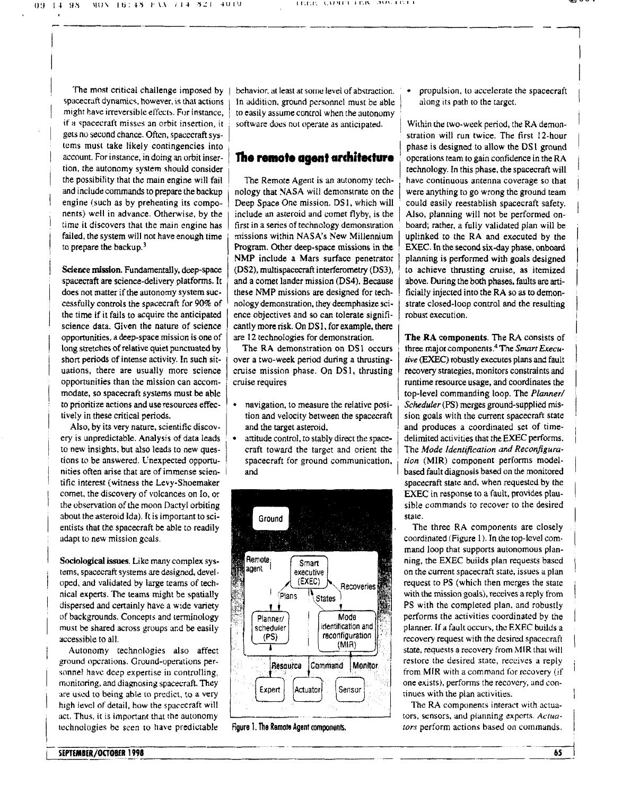I

I

I

j

!

I !

I

i

i

i

I

I

!

i

1

I

!

!

I

I

I

I

I

'The **most** critical challenge imposed by spacecraft dynamics, however, *is that actions* might have irreversible effects. For instance, if a spacecraft misses an orbit insertion, it gets no second chance. Often, spacecraft systems must take likely contingencies into account. For instance, in doing an orbit insertion, the autonomy system should consider the possibility that the main engine will fail and include commands to prepare the backup | nology that NASA will demonstrate on the engine (such as by preheating its compo- 1 Deep Space One mission. DS1, which will nents) well in advance. Otherwise, by the  $\parallel$  include an asteroid and comet flyby, is the time it discovers that the main engine has  $\parallel$  first in a series of technology demonstration failed, the system will not have enough time to prepare the backup. $3$ 

Science **mission.** Fundamentally, deep-space spacecraft are science-delivery platforms. It does not matter if the autonomy system successfully controls the spacecraft for 90% of the time if it fails to **acquire** the anticipated science data. Given the nature of science opportunities, a deep-space mission is one of long stretches of relative quiet punctuated by short periods of intense activity. In such situations, there are usually more science opportunities than the mission can accommodate, so spacecraft systems must be **ahle**  *to* prioritize actions and use resources effectively in these critical periods.

**Also, by** its very nature, scientific discovery is unpredictable. Analysis of data leads to new insights, but also leads to new questions to be answered. Enexpected opportuni:ies often arise that **are** of immense scientific interest (witness the Levy-Shoemaker comet, the discovery of volcances on Io, or the observation of the moon Dactyl orbiting about the asteroid Ida). **It** is important to scientists that the spacecraft be able to readily adapt to new mission goals.

**Sociologieal issues.** Like many complex systems, spacecraft systems are designed, developed. and validated by large teams of technical experts. The teams might be spatially dispersed and certainly have a wide variety of backgrounds. Concepts and terminology must be shared across groups and be easily accessible to all.

Autonomy technologies **also** affect ground operations. Ground-operations personnel have deep expertise in controlling, monitoring, and diagnosing spacecraft. They are **used** to beiny **able to** predict, *?o* **a very**  high level of detail, how the spacecraft will act. Thus, it is important that the autonomy technologies be seen to have predictable

behavior, at least at some level of abstraction. In addition, ground personnel must be able to easily assume control when rhe autonomy software does not operate as anticipated.

### The remote agent architecture

The Remote Agent is an autonomy techmissions within NASA's New Millennium **Program.** Other deepspace **missions** in **the NMP** include a Mars surfacc penetrator **(DS2),** multispacecraft interferometry (DS3), and a comet lander mission **(DS4).** Because these NMP missions **are** designed for technology demonstration, they deemphasize science objectives and *so* can tolerate significantly more **risk.** On DS **1,** for example, there are **12** technologies for demonstration.

The RA demonstration on DS1 occurs over a two-week period during a thrustingcruise mission phase. On **DS 1,** thrusting cruise requires

- $\bullet$ navigation, to measure the relative position and velocity between the spacecraft and the target asteroid,
- $\bullet$ attitude control, to stably direct the spacecraft toward the target and orient the spacecraft for ground communication, and



**Figure** 1. **The Remota Agent components.** 

propulsion, **LO** accelerate the spacecraft along its path to the target.

Within *che* two-week period, the **RA** demonstration will run twice. The **first** 12-hour phase is designed to allow the **DS1** ground opcrations team to gain confidence in the RA technology. In this phase. the spacecraft will have continuous antenna coverage *so* that were anything to go wrong the ground team could easily reestabiish spacecraft safety. **Also,** planning **will** not be performed onboard; rather, a fully validated plan will be uplinked to the **RA** and executed by the EXEC. in the second six-day phase, onboard planning is performed with goals designed to achieve thrusting cruise, as itemized above. During the both phases, faults **are** artificially injected into the **RA** so as to demonstrate closed-loop control and the resulting robust execution.

**The RA components.** The RA consists of three major components? **The** *Smart Ekecurive (EXEC)* robustly executes **plans** and fault recovery strategies, monitors constraints and runtime resource usage, and coordinates the top-level commanding loop. The *Planner/ Scheduler* **(PS)** merges ground-supplied mission goals with the current spacecraft state and produces a coordinated set of timedelimited activities that the EXEC performs. The *Mode Identification and Reconfigururion* **(MIR)** component performs modeibased fault diagnosis based on **the** monitored spacecraft state and, when requested by the EXEC in response *to* a fault, provides plausible commands to recover to the desired state.

The three RA components are closely coordinated (Figure 1). In the top-level command loop that supports autonomous planning, the **EXEC** builds plan requests based on the current spacecraft state, issues **a** plan request to PS (which then merges the state with the mission *goals),* receives a **reply** from PS with the completed plan. and robustly performs the activities coordinated by the planner. [fa fault occur\, the **EXEC** builds **a**  recovery request with the desired spacecraft state. **requests a** recovery from MIR that will restore the desired state, receives a reply from **MIH** with a command **for** recovery (if one exists), performs the recovcry, and conrinucs with the plan activities.

The RA components interact with actuators, sensors, and planning experts. Actuators perform actions based on commands.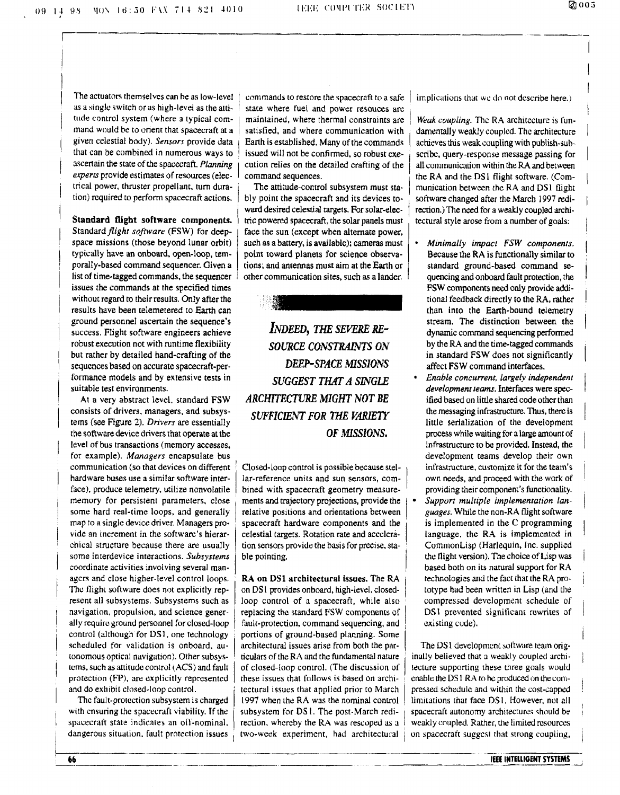The actuators themselves can be as low-level  $\parallel$  commands to restore the spacecraft to a safe  $\parallel$  implications that we do not describe here.) as a single switch or as high-level as the atti- state where fuel and power resouces are tude control system (where a typical com- | maintained, where thermal constraints are | Weak *coupling*. The RA architecture is funmand would be to orient that spacecraft at a satisfied, and where communication with damentally weakly coupled. The architecture given celestial body). *Sensors* provide data | Earth is established. Many of the commands | *Weak coupling*. The RA architecture is funded control system (where a typical commandial communication with | damentally weakly that can be combined in numerous ways to 1 issued will not be confirmed, so robust exe- scribe, query-response message passing for ascertain the state of the spacecraft. *Planning*  $\vert$  cution relies on the detailed crafting of the *experts* provide estimates of resources (elec-  $\vert$  command sequences. trical power, thruster propellant, turn duration) required to perform spacecraft actions.

**Standard tlight software components.**  Standard *flight software* (FSW) for deepspace missions (those beyond lunar orbit) typically have **an** onboard. open-loop, temporally-based command sequencer. Given a list of time-tagged commands. the sequencer issues the commands at the specified **times**  without regard to their results. Only after the results have been teiemerered to Earth can ground personnel ascertain the sequence's success. FIight software engineers achieve robust execution not with runtime flexibility but rather by detailed hand-crafting of the sequences based on accurate spacecraft-performance models and by extensive tests in suitable test environments.

**At** a very abstract level, standard **FSW**  consists of drivers, managers, and subsystems *(see* Figure **2).** *Drivers* are essentidly the software device drivers that **operate at** the level of bus transactions (memory accesses, for example). *Managers* encapsulate bus communication (so that devices on different hardware buses use a simjlar software interface), produce telemetry, utilize nonvolatile memory for persistent parameters. close some hard real-time loops, and generally map to a single device driver. Managers provide an increment in the software's hierarchical structure because there are usually some interdevice interactions. *Subsystems*  coordinate activities involving several managers and close higher-level control loops. The flight software does not explicitly represent all subsystems. Subsystems such as navigation, propulsion, and science generally require ground personnel for closed-loop control (although for DS1, one technology scheduled for validation is onboard, autonomous optical navigation). Other subsystems, such as attitude control (ACS) and fault protection **(FP),** are explicitly representcd and do exhibil closed-loop control.

The fault-protection subsystem is charged with ensuring the spacecraft viability. **Tf** the spacecraft state indicates an off-nominal, dangerous situation, fault protection issues

**The** attitude-control subsystem must stably point the spacecraft and its devices toward desired celestial targets. For solar-electric powered spacecraft, the solar panels **must**  face the **sun** (except when alternate power, such **as** a battery, **is** available); cameras must point toward planets for science observations; and antennas must aim at the **Earth** or other communication sites. such **as** a lander.

*INDEED, THE SEVERE RE-***SOURCE CONSTRAINTS ON** *DEEP-SPACE MiSSlQNS SUGGEST THAT A SINGLE ARCHITECTURE MIGHT NOT BE* **SUFFICIENT FOR THE VARIETY** *OF* **MISSIONS.** 

Closed-loop control **is** possible because stellar-reference units and sun semors, combined with spacecraft geometry measurements and trajectory projections, provide the relative positions and orientations between spacecraft hardware components and the celestial targets. Rotation rate and acceleration sensors provide the basis for precise, stable pointing.

'

!

RA **on DS1 architectural issues.** The **RA**  on **DSI** provides onboard, high-level, closedloop control of a spacecraft, while also replacing :hc standard **FSW** components of fault-protection, command sequencing, and portions of ground-based planning. Some architectural issues arise from both the purticulars of *the* **RA** and the fundamental nature of closed-loop control. (The discussion of these issues that follows is based on architectural issues that applied prior to March **I997** when the **RA** was the nominal control subsystem for DS1. The post-March redi- spacecraft autonomy architectures should be rection, whereby the RA was rescoped as a 1 weakly coupled. Rather, the limited resources two-week experiment, had architectural  $\parallel$  on spacecraft suggest that strong coupling,

all communication within the RA and between the **RA** and the **DS** 1 flight software. (Communication between the RA *and* **DS1** flight software changed after the March 1997 redirection.) The need for a weakly coupled architectural style **arose** from a number of goals:

- *Minimally impact FSW components.*  Because the **RA is** functionally similar to standard ground-based command sequencing and onboard fault protection, the **FSW** components **need** only provide additional feedback directly *to* the **RA,** rather than into the Earth-bound telemetry stream. The distinction between the dynamic command sequencing performed by the RA and the time-tagged commands in standard **FSW** *does* **not** significantly affect **FSW** command interfaces.
- \* *Enable concurrent, largely independent development teams.* Interfaces were specified based on little shared code other than the messaging infrastructure. Thus, there is little serialization of the development process while waiting for a large amount of infrastructure to be provided. Instead, the development teams develop their own infrastructure, customize it for the team's own needs, and proceed with the work of providing their component's functionality.
- Support multiple implementation lan*guages.* While the non-RA flight software is implemented in the **C** programming language, the RA is implemented in CommonLisp (Harlequin, inc. supplied the flight version). The choice of Lisp was based both on its natural support for **RA**  technologics **arld** the fact that the **RA** prototype had been written in Lisp **(and** the compressed developnisnt schedule *of*  DSI prevented significant rewrites of existing code).

The DS1 development software team originally believed that a weakly coupled architecture supporting these three goals would enable the DS **1** RA *to* **he** produced on **the** compressed schedule and within the cost-capped limitations that face **DSI.** However. not all The sense of that a weakly contract that a weakly contract the DS1 RA to be produce sessed schedule and within the interact sense of the DS1. However, the limit of the sense of the sense of the sense of the sense of the se

66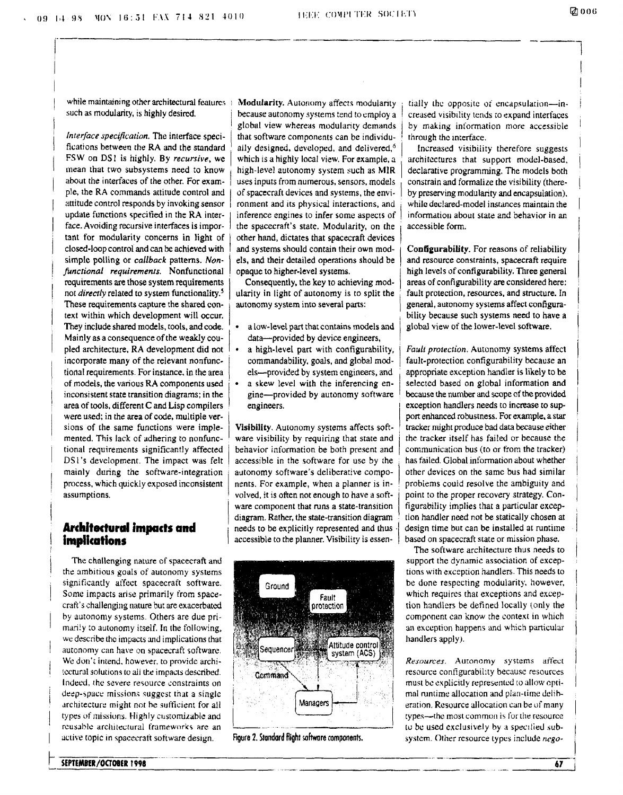I

I

i

r

while maintaining other architectural features I Modularity. Autonomy affects modularity thally the opposite of encapsulation-in-

fications between the RA and the standard <sup>1</sup> ally designed, developed, and delivered,<sup>6</sup> Increased visibility therefore suggests FSW on DS1 is highly. By *recursive*, we which is a highly local view. For example, a archit mean that two subsystems need to know  $\frac{1}{1}$  high-level autonomy system such as MIR  $\frac{1}{1}$  declarative programming. The models both about the interfaces of the other. For exam- 1 uses inputs from numerous, sensors, models ple, the **RA** commands attitude control and attitude control responds by invoking sensor update functions specified in the **RA** interface. Avoiding recursive interfaces is important for modularity concerns in light **of**  closed-loop control and can be achieved with simple polling or *callback* patterns. *Nonfunctional requirements.* Nonfunctional requirements **are** those system requirements not *directly* related to system functionality.<sup>5</sup> These requirements capture the shared context within which development will occur. They include shared models, tools, and code. Mainly as a consequence of the weakly cou-<br>
pled architecture, RA development did not  $\cdot$  a high-level part with configurability, pled architecture, RA development did not  $\cdot$  a high-level part with configurability,  $\cdot$  *Fault protection.* Autonomy systems affect incorporate many of the relevant nonfunc- commandability, goals, and global mod- fault-protection configurability because an<br>tional requirements. For instance, in the area els—provided by system engineers, and appropriate tional requirements. For instance, in the area of models, the various **RA** components used  $\mathbf{a} \cdot \mathbf{a}$  skew level with the inferencing eninconsistent state transition diagrams; in the gine-provided by autonomy software area of **tools**, different C and Lisp compilers engineers. were used; in the area of code, multiple versions of the same functions were implemented. This lack of adhering to nonfunctional requirements significantly affected DS 1's development. The impact was felt mainly during the software-integration process, which quickly exposed inconsistent assumptions.

### **Architectural impacts and implications**

**The** challenging nature **of** spacecraft and the **ambitious** goals of autonomy systems significantly affect spacecraft software. **Some** impacts arise primarily from spacecraft's challenging **nature** hut are exacerbated by autonomy systems. Others are due primari!y :o autonomy itself. In the following, we describe thc impacts **and** implications that autonomy can have cn spacecraft software. We don't intend, however, to provide architectural solutions to all the impacts described. Indeed. *the* severe resource constraints on deep-space missions suggest that a single architecture might not be sufficient for all **I I was all I Managers** types *of* missions. Highly customizablc and reusable architectural frameworks are an active topic in spacecraft software design. Figure 2. Standard flight software components.

*lnterface specification*. The interface speci-  $\vert$  that software components can be individu- through the interface. of spacecraft devices and systems, the environment and its physical interactions, and inference engines to infer some aspects of the spacecraft's state. Modularity, on the other **hand,** dictates that spacecraft devices and systems should contain their own models, and their detailed operations should be opaque to higher-level systems.

> Consequently, the key to achieving modularity in light of autonomy is to split the autonomy system into several parts:

- 
- 
- 

**Visibility. Autonomy** systems affects software visibility by requiring that state and behavior information be both present and accessible in the software for use by the autonomy software's deliberative components. For example, when **a** planner is involved, it is often not enough to have a software component that runs a state-transition diagram. Rather, **the** state-transition diagram needs to be explicitly represented and thus accessible to the planner. Visibility is essen-



such as modularity, is highly desired.  $\frac{1}{2}$  because autonomy systems tend to employ a  $\frac{1}{2}$  creased visibility tends to expand interfaces global view whereas modularity demands  $\vert$  by making information more accessible

> which is a highly local view. For example,  $a \perp$  architectures that support model-based, constrain and formalize the visibility (thereby preserving modularity **and** encapsulation). while declared-model instances maintain the information about state and behavior in an accessible form.

bility because such systems need to have a a low-level **part** that contains models **and** 1 global view of the lower-level software. Configurability. For reasons of reliability and resource constraints, spacecraft require high levels **of** configurability. Three general areas of configurability are considered here: fault protection, resources, and structure. In general, autonomy systems affect configura-

> selected based on global information and because the number and **scape** of the provided exception handlers needs to increase to support enhanced robustness. For example, **a** star tracker might produce bad data because either the tracker itself has failed or because the communication bus (to or from the tracker) has failed. Global information about whether other devices on the same bus had similar problems couid resolve the ambiguity and point to the proper recovery strategy. Configurability implies that a particular exception handler need not be statically chosen at design time but can be installed at runtime based on spacecraft state or mission phase.

The software architecture thus needs to support the dynamic association of exceptions with exception handlers. This needs to be dune respecting modularity, however, which requires that exceptions and exception handlers be defined locally (only the component can know the context in which an exception happens and which particular handlers apply).

*Resources.* Autonomy systems affect resource configurability because resources **must** bc explicitly represerlted to allow cptimal runtime allocation and plan-time deliberation. Resource allocation can be of many types-the most common is for the resource to be used exclusively by a specified subsystem. **Other** resource types include *nego-* I

I

i i

I

I I

!

i

i

I

I

I

I

i

i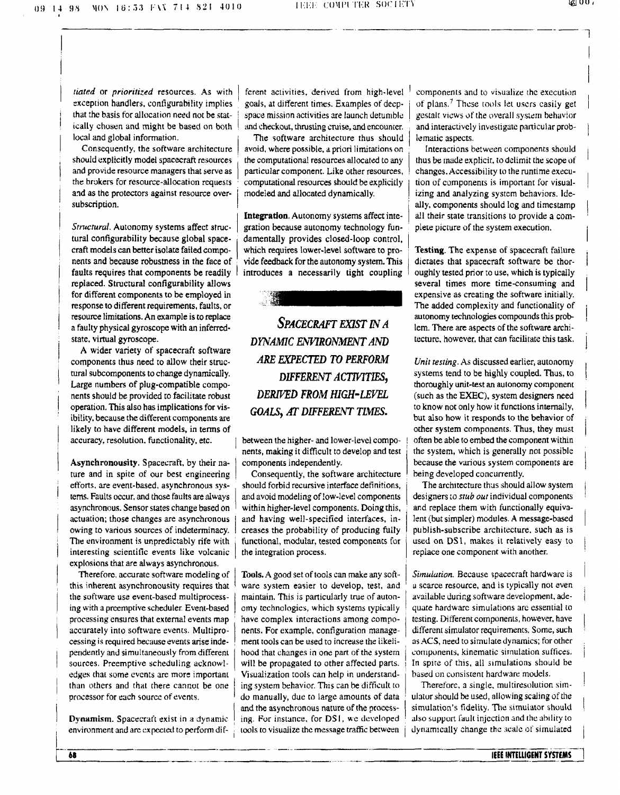$\mathbb{R}$ 

I

I

!

I

I

i

!

!

i

!

I

1

!

1

1

!

1

*tinted* or *prioritized* resources. **As** with exception handlers, configurability implies that the basis for allocation need not be statically chosen and might be based on both local and global information.

I

i

1

I

I

!

!

I

I

I

i

i

I

I

!

I

Consequently, the software architecture should explicitly model spacecraft resources and provide resource managers that serve as the brokers for resource-allocation requests and as the protectors against resource oversubscription.

*Stmctuml.* Autonomy systems affect structural configurability because global spacecraft models can better isolate failed components and because robustness in the face of replaced. Structural configurability allows for different components to be employed in response to different requirements, faults, or resource limitations. An example is to replace a faulty physical gyroscope with an inferredstate, virtual gyroscope.

**A** wider variety of spacecraft software components thus need to allow their structural subcomponents **to** change dynamically. **Large** numbers of plug-compatible components should be provided to facilitate robust operation. This also has implications for visibi!ity, because the different components are likely to have different models, in terms of accuracy, resolution. functionality, etc.

**Asynchronousity.** Spacecraft, by their nature and in spite of our best engineering efforts. are event-based. asynchronous sysinteresting scientific events like volcanic  $\parallel$  the integration process. explosions that are always asynchronous.

Therefore, accurate software modeling of this inherent asynchronousiry requires that the software use event-based multiprocessing with a preemptive scheduler. Event-based processing ensures that external events map accurately into software events. Multiprocessing is required because events arise independently and simultaneously from different sources. Preemptive scheduling acknowledges that some evcnts are more important than others and that there cannot be one processor for each source of events.

**Dynamism.** Spacecraft exist in *a* dynamic environment and are **cxpectat** to perform difgoals, at different times. Examples of deepspace mission activities are launch detumble. and checkout, thrusting cruise, and encounter.

The software architecture thus should avoid, where possible. a priori limitations on the computational resources allocated to any particular component. Like other resources, computational resources should **be** explicitly modeled and allocated dynamically.

Integration. Autonomy systems affect integration because autonomy technology fun- $\frac{1}{2}$  plete picture of the system execution. damentally provides closed-loop control, which requires lower-level software to pro- ' **Testing.** The expense of spacecraft failure vide feedback for the autonomy system. This  $\parallel$  dicrates that spacecraft software be thor-

**SPACECRAFT EXIST IN A** DYNAMIC ENVIRONMENT AND ARE EXPECTED TO PERFORM DIFFERENT ACTIVITIES, DERIVED FROM HIGH-LEVEL **GOALS, AT DIFFERENT TIMES.** 

between the higher- and lower-level components, making it difficult to develop and test components independently.<br>
Consequently, the software architecture

should forbid recursive interface definitions, terns. Faults occur, and those faults are always  $\parallel$  and avoid modeling of low-level components asynchronous. Sensor states change based on  $\frac{1}{2}$  within higher-level components. Doing this, actuation; those changes are asynchronous | and having well-specified interfaces, inowing to various sources of indeterminacy.  $\vert$  creases the probability of producing fully The environment is unpredictably rife with functional, modular, tested components for

> **Tools. A** good set of tools can make any software system easier **to** develop, rest, and maintain. This is particularly true of autonomy technologies, which systems typically have complex interactions among components. For example, configuration management tools can be used to increase the likelihood :hat changes in one part of the system will be propagated to other affected parts. Visualization tools can help in understanding system behavior. This can be difficult to do manually, due to large amounts of data and the asynchronous nature of the processtools to visualize the message traffic between | dynamically change the scale of simulated

I

ferent activities, derived from high-level  $\frac{1}{2}$  components and to visualize the execution of plans.' Thcse tools let users casiiy get gestalt vicws of the overall system behavior and interactively investigate particular problematic **aspects.** 

> Interactions between components should thus be made explicit, to delimit the scope of changes.Accessibility to the runtime execution *of* Components is important for visualizing **and** analyzing system behaviors. Ideally, components should log and timestamp all their state transitions to provide a com-

faults requires that components be readily  $\parallel$  introduces a necessarily tight coupling  $\parallel$  oughly tested prior to use, which is typically several times more time-consuming and expensive as creating the software initially. The added complexity and functionality of autonomy technologies compounds this prob lem. There are aspects of the software architecture. however, that can facilitate this task.

> *Unit testing.* **As** discussed earlier, autonomy systems tend to be highly coupled. Thus, to thoroughly unit-test an autonomy component (such as the EXEC), system designers need to know not only how it functions internally, but also how it responds to the behavior of other system components. Thus, they must often be able to embed the component within rhe system, which is generally not possible because the various system components are being developed concurrently.

> The architecture thus should allow system designers to *stub out* individual components and replace them with functionally equivalent (but simpler) modules. **A** message-based publish-subscribe architecture. such as is used on DS1, makes it relatively easy to replace one component with another.

> *Sirnulurion.* Because spacecraft hardware is a scarce resource, **and** is typically not even available during software development, adequate hardwarc simulations are essential to testing. Different components, however, have different simulator requirements. Some, such **as .4CS,** need to simulate dynamics; for other components, kinematic simulation suffices. In spite of this, all simulations should be **based** on consistent hardware models.

simulation's fidelity. The simulator should Therefore, a single, multiresolution simulatur should be used, allowing scaling of *the*  ing. For instance, for **DS1**, we developed <sup>1</sup> also support fault injection and the ability to